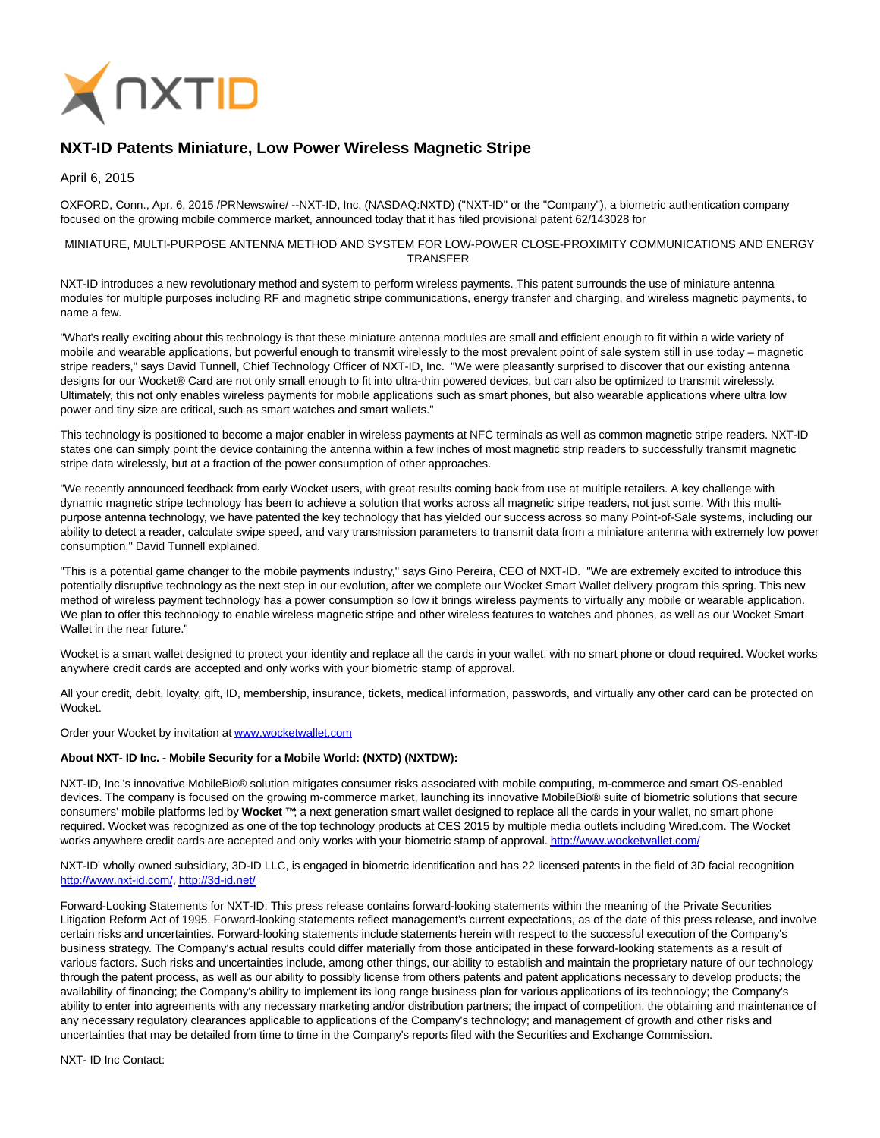

## **NXT-ID Patents Miniature, Low Power Wireless Magnetic Stripe**

April 6, 2015

OXFORD, Conn., Apr. 6, 2015 /PRNewswire/ --NXT-ID, Inc. (NASDAQ:NXTD) ("NXT-ID" or the "Company"), a biometric authentication company focused on the growing mobile commerce market, announced today that it has filed provisional patent 62/143028 for

## MINIATURE, MULTI-PURPOSE ANTENNA METHOD AND SYSTEM FOR LOW-POWER CLOSE-PROXIMITY COMMUNICATIONS AND ENERGY TRANSFER

NXT-ID introduces a new revolutionary method and system to perform wireless payments. This patent surrounds the use of miniature antenna modules for multiple purposes including RF and magnetic stripe communications, energy transfer and charging, and wireless magnetic payments, to name a few.

"What's really exciting about this technology is that these miniature antenna modules are small and efficient enough to fit within a wide variety of mobile and wearable applications, but powerful enough to transmit wirelessly to the most prevalent point of sale system still in use today – magnetic stripe readers," says David Tunnell, Chief Technology Officer of NXT-ID, Inc. "We were pleasantly surprised to discover that our existing antenna designs for our Wocket® Card are not only small enough to fit into ultra-thin powered devices, but can also be optimized to transmit wirelessly. Ultimately, this not only enables wireless payments for mobile applications such as smart phones, but also wearable applications where ultra low power and tiny size are critical, such as smart watches and smart wallets."

This technology is positioned to become a major enabler in wireless payments at NFC terminals as well as common magnetic stripe readers. NXT-ID states one can simply point the device containing the antenna within a few inches of most magnetic strip readers to successfully transmit magnetic stripe data wirelessly, but at a fraction of the power consumption of other approaches.

"We recently announced feedback from early Wocket users, with great results coming back from use at multiple retailers. A key challenge with dynamic magnetic stripe technology has been to achieve a solution that works across all magnetic stripe readers, not just some. With this multipurpose antenna technology, we have patented the key technology that has yielded our success across so many Point-of-Sale systems, including our ability to detect a reader, calculate swipe speed, and vary transmission parameters to transmit data from a miniature antenna with extremely low power consumption," David Tunnell explained.

"This is a potential game changer to the mobile payments industry," says Gino Pereira, CEO of NXT-ID. "We are extremely excited to introduce this potentially disruptive technology as the next step in our evolution, after we complete our Wocket Smart Wallet delivery program this spring. This new method of wireless payment technology has a power consumption so low it brings wireless payments to virtually any mobile or wearable application. We plan to offer this technology to enable wireless magnetic stripe and other wireless features to watches and phones, as well as our Wocket Smart Wallet in the near future."

Wocket is a smart wallet designed to protect your identity and replace all the cards in your wallet, with no smart phone or cloud required. Wocket works anywhere credit cards are accepted and only works with your biometric stamp of approval.

All your credit, debit, loyalty, gift, ID, membership, insurance, tickets, medical information, passwords, and virtually any other card can be protected on Wocket.

Order your Wocket by invitation a[t www.wocketwallet.com](http://www.wocketwallet.com/)

## **About NXT- ID Inc. - Mobile Security for a Mobile World: (NXTD) (NXTDW):**

NXT-ID, Inc.'s innovative MobileBio® solution mitigates consumer risks associated with mobile computing, m-commerce and smart OS-enabled devices. The company is focused on the growing m-commerce market, launching its innovative MobileBio® suite of biometric solutions that secure consumers' mobile platforms led by **Wocket ™**; a next generation smart wallet designed to replace all the cards in your wallet, no smart phone required. Wocket was recognized as one of the top technology products at CES 2015 by multiple media outlets including Wired.com. The Wocket works anywhere credit cards are accepted and only works with your biometric stamp of approval[. http://www.wocketwallet.com/](http://www.wocketwallet.com/)

NXT-ID' wholly owned subsidiary, 3D-ID LLC, is engaged in biometric identification and has 22 licensed patents in the field of 3D facial recognition [http://www.nxt-id.com/,](http://www.nxt-id.com/)<http://3d-id.net/>

Forward-Looking Statements for NXT-ID: This press release contains forward-looking statements within the meaning of the Private Securities Litigation Reform Act of 1995. Forward-looking statements reflect management's current expectations, as of the date of this press release, and involve certain risks and uncertainties. Forward-looking statements include statements herein with respect to the successful execution of the Company's business strategy. The Company's actual results could differ materially from those anticipated in these forward-looking statements as a result of various factors. Such risks and uncertainties include, among other things, our ability to establish and maintain the proprietary nature of our technology through the patent process, as well as our ability to possibly license from others patents and patent applications necessary to develop products; the availability of financing; the Company's ability to implement its long range business plan for various applications of its technology; the Company's ability to enter into agreements with any necessary marketing and/or distribution partners; the impact of competition, the obtaining and maintenance of any necessary regulatory clearances applicable to applications of the Company's technology; and management of growth and other risks and uncertainties that may be detailed from time to time in the Company's reports filed with the Securities and Exchange Commission.